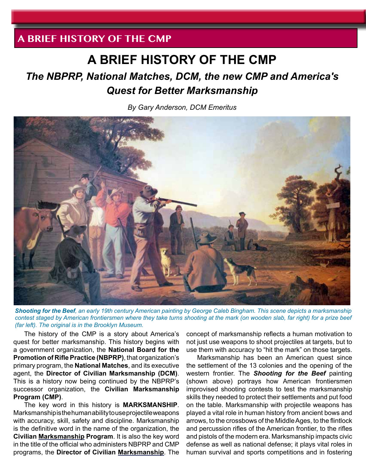# **A BRIEF HISTORY OF THE CMP**

# *The NBPRP, National Matches, DCM, the new CMP and America's Quest for Better Marksmanship*

*By Gary Anderson, DCM Emeritus*



*Shooting for the Beef, an early 19th century American painting by George Caleb Bingham. This scene depicts a marksmanship contest staged by American frontiersmen where they take turns shooting at the mark (on wooden slab, far right) for a prize beef (far left). The original is in the Brooklyn Museum.*

The history of the CMP is a story about America's quest for better marksmanship. This history begins with a government organization, the **National Board for the Promotion of Rifle Practice (NBPRP)**, that organization's primary program, the **National Matches**, and its executive agent, the **Director of Civilian Marksmanship (DCM)**. This is a history now being continued by the NBPRP's successor organization, the **Civilian Marksmanship Program (CMP)**.

The key word in this history is **MARKSMANSHIP**. Marksmanship is the human ability to use projectile weapons with accuracy, skill, safety and discipline. Marksmanship is the definitive word in the name of the organization, the **Civilian Marksmanship Program**. It is also the key word in the title of the official who administers NBPRP and CMP programs, the **Director of Civilian Marksmanship**. The

concept of marksmanship reflects a human motivation to not just use weapons to shoot projectiles at targets, but to use them with accuracy to "hit the mark" on those targets.

Marksmanship has been an American quest since the settlement of the 13 colonies and the opening of the western frontier. The *Shooting for the Beef* painting (shown above) portrays how American frontiersmen improvised shooting contests to test the marksmanship skills they needed to protect their settlements and put food on the table. Marksmanship with projectile weapons has played a vital role in human history from ancient bows and arrows, to the crossbows of the Middle Ages, to the flintlock and percussion rifles of the American frontier, to the rifles and pistols of the modern era. Marksmanship impacts civic defense as well as national defense; it plays vital roles in human survival and sports competitions and in fostering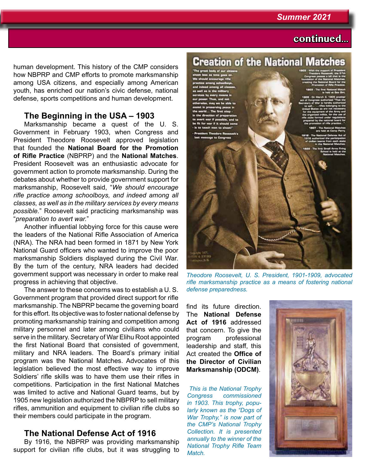## **continued...**

human development. This history of the CMP considers how NBPRP and CMP efforts to promote marksmanship among USA citizens, and especially among American youth, has enriched our nation's civic defense, national defense, sports competitions and human development.

### **The Beginning in the USA – 1903**

Marksmanship became a quest of the U. S. Government in February 1903, when Congress and President Theodore Roosevelt approved legislation that founded the **National Board for the Promotion of Rifle Practice** (NBPRP) and the **National Matches**. President Roosevelt was an enthusiastic advocate for government action to promote marksmanship. During the debates about whether to provide government support for marksmanship, Roosevelt said, "*We should encourage rifle practice among schoolboys, and indeed among all classes, as well as in the military services by every means possible.*" Roosevelt said practicing marksmanship was "*preparation to avert war.*"

Another influential lobbying force for this cause were the leaders of the National Rifle Association of America (NRA). The NRA had been formed in 1871 by New York National Guard officers who wanted to improve the poor marksmanship Soldiers displayed during the Civil War. By the turn of the century, NRA leaders had decided government support was necessary in order to make real progress in achieving that objective.

The answer to these concerns was to establish a U. S. Government program that provided direct support for rifle marksmanship. The NBPRP became the governing board for this effort. Its objective was to foster national defense by promoting marksmanship training and competition among military personnel and later among civilians who could serve in the military. Secretary of War Elihu Root appointed the first National Board that consisted of government, military and NRA leaders. The Board's primary initial program was the National Matches. Advocates of this legislation believed the most effective way to improve Soldiers' rifle skills was to have them use their rifles in competitions. Participation in the first National Matches was limited to active and National Guard teams, but by 1905 new legislation authorized the NBPRP to sell military rifles, ammunition and equipment to civilian rifle clubs so their members could participate in the program.

### **The National Defense Act of 1916**

By 1916, the NBPRP was providing marksmanship support for civilian rifle clubs, but it was struggling to



**Creation of the National Matches** 

*Theodore Roosevelt, U. S. President, 1901-1909, advocated rifle marksmanship practice as a means of fostering national defense preparedness.*

find its future direction. The **National Defense Act of 1916** addressed that concern. To give the program professional leadership and staff, this Act created the **Office of the Director of Civilian Marksmanship (ODCM)**.

 *This is the National Trophy Congress commissioned in 1903. This trophy, popularly known as the "Dogs of War Trophy," is now part of the CMP's National Trophy Collection. It is presented annually to the winner of the National Trophy Rifle Team Match.*

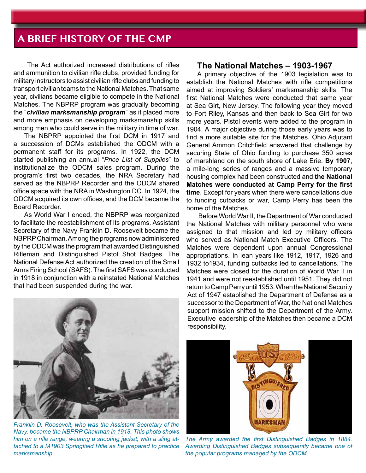The Act authorized increased distributions of rifles and ammunition to civilian rifle clubs, provided funding for military instructors to assist civilian rifle clubs and funding to transport civilian teams to the National Matches. That same year, civilians became eligible to compete in the National Matches. The NBPRP program was gradually becoming the "*civilian marksmanship program*" as it placed more and more emphasis on developing marksmanship skills among men who could serve in the military in time of war.

The NBPRP appointed the first DCM in 1917 and a succession of DCMs established the ODCM with a permanent staff for its programs. In 1922, the DCM started publishing an annual "*Price List of Supplies*" to institutionalize the ODCM sales program. During the program's first two decades, the NRA Secretary had served as the NBPRP Recorder and the ODCM shared office space with the NRA in Washington DC. In 1924, the ODCM acquired its own offices, and the DCM became the Board Recorder.

As World War I ended, the NBPRP was reorganized to facilitate the reestablishment of its programs. Assistant Secretary of the Navy Franklin D. Roosevelt became the NBPRP Chairman. Among the programs now administered by the ODCM was the program that awarded Distinguished Rifleman and Distinguished Pistol Shot Badges. The National Defense Act authorized the creation of the Small Arms Firing School (SAFS). The first SAFS was conducted in 1918 in conjunction with a reinstated National Matches that had been suspended during the war.



*Franklin D. Roosevelt, who was the Assistant Secretary of the Navy, became the NBPRP Chairman in 1918. This photo shows him on a rifle range, wearing a shooting jacket, with a sling attached to a M1903 Springfield Rifle as he prepared to practice marksmanship.*

#### **The National Matches – 1903-1967**

A primary objective of the 1903 legislation was to establish the National Matches with rifle competitions aimed at improving Soldiers' marksmanship skills. The first National Matches were conducted that same year at Sea Girt, New Jersey. The following year they moved to Fort Riley, Kansas and then back to Sea Girt for two more years. Pistol events were added to the program in 1904. A major objective during those early years was to find a more suitable site for the Matches. Ohio Adjutant General Ammon Critchfield answered that challenge by securing State of Ohio funding to purchase 350 acres of marshland on the south shore of Lake Erie. **By 1907**, a mile-long series of ranges and a massive temporary housing complex had been constructed and **the National Matches were conducted at Camp Perry for the first time**. Except for years when there were cancellations due to funding cutbacks or war, Camp Perry has been the home of the Matches.

 Before World War II, the Department of War conducted the National Matches with military personnel who were assigned to that mission and led by military officers who served as National Match Executive Officers. The Matches were dependent upon annual Congressional appropriations. In lean years like 1912, 1917, 1926 and 1932 to1934, funding cutbacks led to cancellations. The Matches were closed for the duration of World War II in 1941 and were not reestablished until 1951. They did not return to Camp Perry until 1953. When the National Security Act of 1947 established the Department of Defense as a successor to the Department of War, the National Matches support mission shifted to the Department of the Army. Executive leadership of the Matches then became a DCM responsibility.



The Army awarded the first Distinguished Badges in 1884. *Awarding Distinguished Badges subsequently became one of the popular programs managed by the ODCM.*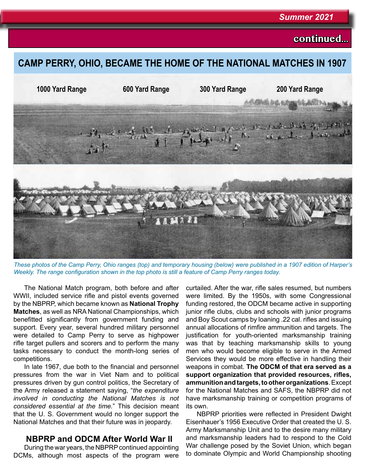#### *Summer 2021*

### **continued...**

### **CAMP PERRY, OHIO, BECAME THE HOME OF THE NATIONAL MATCHES IN 1907**



*These photos of the Camp Perry, Ohio ranges (top) and temporary housing (below) were published in a 1907 edition of Harper's Weekly. The range configuration shown in the top photo is still a feature of Camp Perry ranges today.*

The National Match program, both before and after WWII, included service rifle and pistol events governed by the NBPRP, which became known as **National Trophy Matches**, as well as NRA National Championships, which benefitted significantly from government funding and support. Every year, several hundred military personnel were detailed to Camp Perry to serve as highpower rifle target pullers and scorers and to perform the many tasks necessary to conduct the month-long series of competitions.

In late 1967, due both to the financial and personnel pressures from the war in Viet Nam and to political pressures driven by gun control politics, the Secretary of the Army released a statement saying, "*the expenditure involved in conducting the National Matches is not considered essential at the time.*" This decision meant that the U. S. Government would no longer support the National Matches and that their future was in jeopardy.

### **NBPRP and ODCM After World War II**

During the war years, the NBPRP continued appointing DCMs, although most aspects of the program were

curtailed. After the war, rifle sales resumed, but numbers were limited. By the 1950s, with some Congressional funding restored, the ODCM became active in supporting junior rifle clubs, clubs and schools with junior programs and Boy Scout camps by loaning .22 cal. rifles and issuing annual allocations of rimfire ammunition and targets. The justification for youth-oriented marksmanship training was that by teaching marksmanship skills to young men who would become eligible to serve in the Armed Services they would be more effective in handling their weapons in combat. **The ODCM of that era served as a support organization that provided resources, rifles, ammunition and targets, to other organizations**. Except for the National Matches and SAFS, the NBPRP did not have marksmanship training or competition programs of its own.

NBPRP priorities were reflected in President Dwight Eisenhauer's 1956 Executive Order that created the U. S. Army Marksmanship Unit and to the desire many military and marksmanship leaders had to respond to the Cold War challenge posed by the Soviet Union, which began to dominate Olympic and World Championship shooting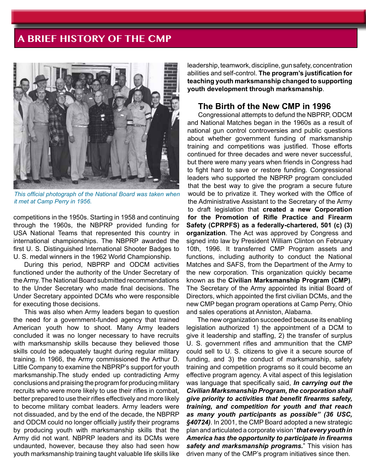

*This official photograph of the National Board was taken when it met at Camp Perry in 1956.* 

competitions in the 1950s. Starting in 1958 and continuing through the 1960s, the NBPRP provided funding for USA National Teams that represented this country in international championships. The NBPRP awarded the first U. S. Distinguished International Shooter Badges to U. S. medal winners in the 1962 World Championship.

During this period, NBPRP and ODCM activities functioned under the authority of the Under Secretary of the Army. The National Board submitted recommendations to the Under Secretary who made final decisions. The Under Secretary appointed DCMs who were responsible for executing those decisions.

This was also when Army leaders began to question the need for a government-funded agency that trained American youth how to shoot. Many Army leaders concluded it was no longer necessary to have recruits with marksmanship skills because they believed those skills could be adequately taught during regular military training. In 1966, the Army commissioned the Arthur D. Little Company to examine the NBPRP's support for youth marksmanship.The study ended up contradicting Army conclusions and praising the program for producing military recruits who were more likely to use their rifles in combat, better prepared to use their rifles effectively and more likely to become military combat leaders. Army leaders were not dissuaded, and by the end of the decade, the NBPRP and ODCM could no longer officially justify their programs by producing youth with marksmanship skills that the Army did not want. NBPRP leaders and its DCMs were undaunted, however, because they also had seen how youth marksmanship training taught valuable life skills like

leadership, teamwork, discipline, gun safety, concentration abilities and self-control. **The program's justification for teaching youth marksmanship changed to supporting youth development through marksmanship**.

#### **The Birth of the New CMP in 1996**

Congressional attempts to defund the NBPRP, ODCM and National Matches began in the 1960s as a result of national gun control controversies and public questions about whether government funding of marksmanship training and competitions was justified. Those efforts continued for three decades and were never successful, but there were many years when friends in Congress had to fight hard to save or restore funding. Congressional leaders who supported the NBPRP program concluded that the best way to give the program a secure future would be to privatize it. They worked with the Office of the Administrative Assistant to the Secretary of the Army to draft legislation that **created a new Corporation for the Promotion of Rifle Practice and Firearm Safety (CPRPFS) as a federally-chartered, 501 (c) (3) organization**. The Act was approved by Congress and signed into law by President William Clinton on February 10th, 1996. It transferred CMP Program assets and functions, including authority to conduct the National Matches and SAFS, from the Department of the Army to the new corporation. This organization quickly became known as the **Civilian Marksmanship Program (CMP)**. The Secretary of the Army appointed its initial Board of Directors, which appointed the first civilian DCMs, and the new CMP began program operations at Camp Perry, Ohio and sales operations at Anniston, Alabama.

The new organization succeeded because its enabling legislation authorized 1) the appointment of a DCM to give it leadership and staffing, 2) the transfer of surplus U. S. government rifles and ammunition that the CMP could sell to U. S. citizens to give it a secure source of funding, and 3) the conduct of marksmanship, safety training and competition programs so it could become an effective program agency. A vital aspect of this legislation was language that specifically said, *In carrying out the Civilian Marksmanship Program, the corporation shall give priority to activities that benefit firearms safety, training, and competition for youth and that reach as many youth participants as possible" (36 USC, §40724)*. In 2001, the CMP Board adopted a new strategic plan and articulated a corporate vision "*that every youth in America has the opportunity to participate in firearms safety and marksmanship programs.*" This vision has driven many of the CMP's program initiatives since then.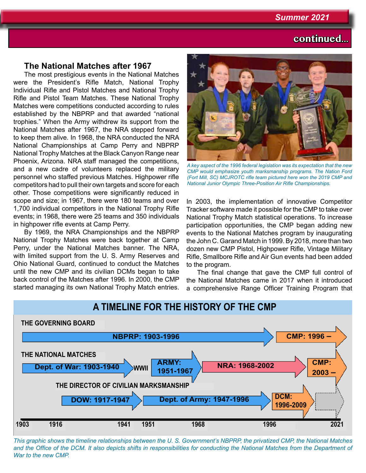## **continued...**

### **The National Matches after 1967**

The most prestigious events in the National Matches were the President's Rifle Match, National Trophy Individual Rifle and Pistol Matches and National Trophy Rifle and Pistol Team Matches. These National Trophy Matches were competitions conducted according to rules established by the NBPRP and that awarded "national trophies." When the Army withdrew its support from the National Matches after 1967, the NRA stepped forward to keep them alive. In 1968, the NRA conducted the NRA National Championships at Camp Perry and NBPRP National Trophy Matches at the Black Canyon Range near Phoenix, Arizona. NRA staff managed the competitions, and a new cadre of volunteers replaced the military personnel who staffed previous Matches. Highpower rifle competitors had to pull their own targets and score for each other. Those competitions were significantly reduced in scope and size; in 1967, there were 180 teams and over 1,700 individual competitors in the National Trophy Rifle events; in 1968, there were 25 teams and 350 individuals in highpower rifle events at Camp Perry.

By 1969, the NRA Championships and the NBPRP National Trophy Matches were back together at Camp Perry, under the National Matches banner. The NRA, with limited support from the U. S. Army Reserves and Ohio National Guard, continued to conduct the Matches until the new CMP and its civilian DCMs began to take back control of the Matches after 1996. In 2000, the CMP started managing its own National Trophy Match entries.



*A key aspect of the 1996 federal legislation was its expectation that the new CMP would emphasize youth marksmanship programs. The Nation Ford (Fort Mill, SC) MCJROTC rifle team pictured here won the 2019 CMP and National Junior Olympic Three-Position Air Rifle Championships.*

In 2003, the implementation of innovative Competitor Tracker software made it possible for the CMP to take over National Trophy Match statistical operations. To increase participation opportunities, the CMP began adding new events to the National Matches program by inaugurating the John C. Garand Match in 1999. By 2018, more than two dozen new CMP Pistol, Highpower Rifle, Vintage Military Rifle, Smallbore Rifle and Air Gun events had been added to the program.

The final change that gave the CMP full control of the National Matches came in 2017 when it introduced a comprehensive Range Officer Training Program that



*This graphic shows the timeline relationships between the U. S. Government's NBPRP, the privatized CMP, the National Matches*  and the Office of the DCM. It also depicts shifts in responsibilities for conducting the National Matches from the Department of *War to the new CMP.*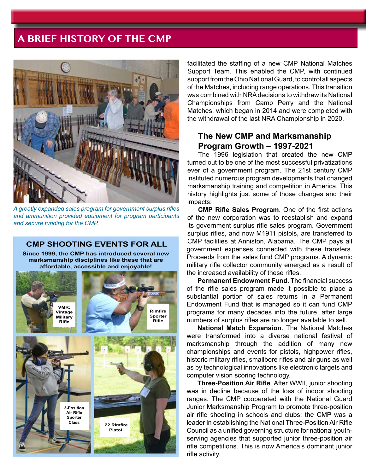

*A greatly expanded sales program for government surplus rifles and ammunition provided equipment for program participants and secure funding for the CMP.*

#### **CMP SHOOTING EVENTS FOR ALL Since 1999, the CMP has introduced several new**

**marksmanship disciplines like these that are affordable, accessible and enjoyable!**



facilitated the staffing of a new CMP National Matches Support Team. This enabled the CMP, with continued support from the Ohio National Guard, to control all aspects of the Matches, including range operations. This transition was combined with NRA decisions to withdraw its National Championships from Camp Perry and the National Matches, which began in 2014 and were completed with the withdrawal of the last NRA Championship in 2020.

### **The New CMP and Marksmanship Program Growth – 1997-2021**

The 1996 legislation that created the new CMP turned out to be one of the most successful privatizations ever of a government program. The 21st century CMP instituted numerous program developments that changed marksmanship training and competition in America. This history highlights just some of those changes and their impacts:

**CMP Rifle Sales Program**. One of the first actions of the new corporation was to reestablish and expand its government surplus rifle sales program. Government surplus rifles, and now M1911 pistols, are transferred to CMP facilities at Anniston, Alabama. The CMP pays all government expenses connected with these transfers. Proceeds from the sales fund CMP programs. A dynamic military rifle collector community emerged as a result of the increased availability of these rifles.

**Permanent Endowment Fund**. The financial success of the rifle sales program made it possible to place a substantial portion of sales returns in a Permanent Endowment Fund that is managed so it can fund CMP programs for many decades into the future, after large numbers of surplus rifles are no longer available to sell.

**National Match Expansion**. The National Matches were transformed into a diverse national festival of marksmanship through the addition of many new championships and events for pistols, highpower rifles, historic military rifles, smallbore rifles and air guns as well as by technological innovations like electronic targets and computer vision scoring technology.

**Three-Position Air Rifle**. After WWII, junior shooting was in decline because of the loss of indoor shooting ranges. The CMP cooperated with the National Guard Junior Marksmanship Program to promote three-position air rifle shooting in schools and clubs; the CMP was a leader in establishing the National Three-Position Air Rifle Council as a unified governing structure for national youthserving agencies that supported junior three-position air rifle competitions. This is now America's dominant junior rifle activity.